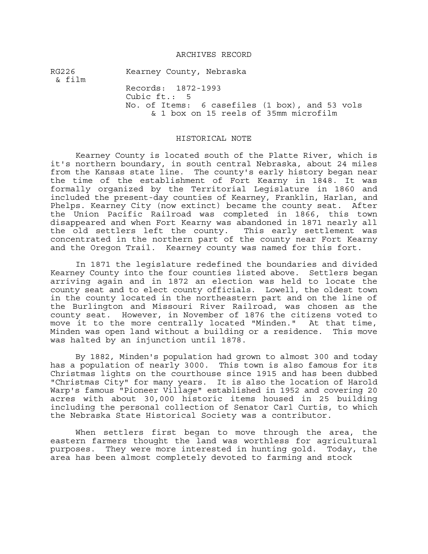### ARCHIVES RECORD

RG226 Kearney County, Nebraska & film Records: 1872-1993 Cubic ft.: 5 No. of Items: 6 casefiles (1 box), and 53 vols & 1 box on 15 reels of 35mm microfilm

#### HISTORICAL NOTE

Kearney County is located south of the Platte River, which is it's northern boundary, in south central Nebraska, about 24 miles from the Kansas state line. The county's early history began near the time of the establishment of Fort Kearny in 1848. It was formally organized by the Territorial Legislature in 1860 and included the present-day counties of Kearney, Franklin, Harlan, and Phelps. Kearney City (now extinct) became the county seat. After the Union Pacific Railroad was completed in 1866, this town disappeared and when Fort Kearny was abandoned in 1871 nearly all the old settlers left the county. This early settlement was concentrated in the northern part of the county near Fort Kearny and the Oregon Trail. Kearney county was named for this fort.

In 1871 the legislature redefined the boundaries and divided Kearney County into the four counties listed above. Settlers began arriving again and in 1872 an election was held to locate the county seat and to elect county officials. Lowell, the oldest town in the county located in the northeastern part and on the line of the Burlington and Missouri River Railroad, was chosen as the county seat. However, in November of 1876 the citizens voted to move it to the more centrally located "Minden." At that time, Minden was open land without a building or a residence. This move was halted by an injunction until 1878.

By 1882, Minden's population had grown to almost 300 and today has a population of nearly 3000. This town is also famous for its Christmas lights on the courthouse since 1915 and has been dubbed "Christmas City" for many years. It is also the location of Harold Warp's famous "Pioneer Village" established in 1952 and covering 20 acres with about 30,000 historic items housed in 25 building including the personal collection of Senator Carl Curtis, to which the Nebraska State Historical Society was a contributor.

When settlers first began to move through the area, the eastern farmers thought the land was worthless for agricultural purposes. They were more interested in hunting gold. Today, the area has been almost completely devoted to farming and stock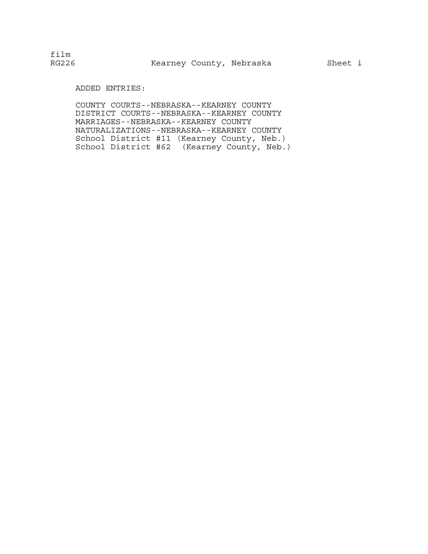# ADDED ENTRIES:

COUNTY COURTS--NEBRASKA--KEARNEY COUNTY DISTRICT COURTS--NEBRASKA--KEARNEY COUNTY MARRIAGES--NEBRASKA--KEARNEY COUNTY NATURALIZATIONS--NEBRASKA--KEARNEY COUNTY School District #11 (Kearney County, Neb.) School District #62 (Kearney County, Neb.)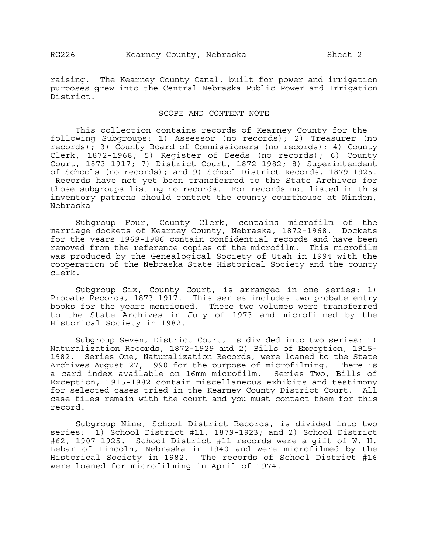raising. The Kearney County Canal, built for power and irrigation purposes grew into the Central Nebraska Public Power and Irrigation District.

## SCOPE AND CONTENT NOTE

This collection contains records of Kearney County for the following Subgroups: 1) Assessor (no records); 2) Treasurer (no records); 3) County Board of Commissioners (no records); 4) County Clerk, 1872-1968; 5) Register of Deeds (no records); 6) County Court, 1873-1917; 7) District Court, 1872-1982; 8) Superintendent of Schools (no records); and 9) School District Records, 1879-1925. Records have not yet been transferred to the State Archives for those subgroups listing no records. For records not listed in this inventory patrons should contact the county courthouse at Minden, Nebraska

Subgroup Four, County Clerk, contains microfilm of the marriage dockets of Kearney County, Nebraska, 1872-1968. Dockets for the years 1969-1986 contain confidential records and have been removed from the reference copies of the microfilm. This microfilm was produced by the Genealogical Society of Utah in 1994 with the cooperation of the Nebraska State Historical Society and the county clerk.

Subgroup Six, County Court, is arranged in one series: 1) Probate Records, 1873-1917. This series includes two probate entry books for the years mentioned. These two volumes were transferred to the State Archives in July of 1973 and microfilmed by the Historical Society in 1982.

Subgroup Seven, District Court, is divided into two series: 1) Naturalization Records, 1872-1929 and 2) Bills of Exception, 1915- 1982. Series One, Naturalization Records, were loaned to the State Archives August 27, 1990 for the purpose of microfilming. There is a card index available on 16mm microfilm. Series Two, Bills of Exception, 1915-1982 contain miscellaneous exhibits and testimony for selected cases tried in the Kearney County District Court. All case files remain with the court and you must contact them for this record.

Subgroup Nine, School District Records, is divided into two series: 1) School District #11, 1879-1923; and 2) School District #62, 1907-1925. School District #11 records were a gift of W. H. Lebar of Lincoln, Nebraska in 1940 and were microfilmed by the Historical Society in 1982. The records of School District #16 were loaned for microfilming in April of 1974.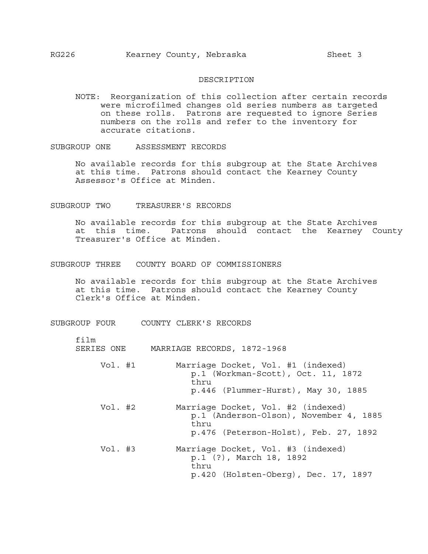#### DESCRIPTION

NOTE: Reorganization of this collection after certain records were microfilmed changes old series numbers as targeted on these rolls. Patrons are requested to ignore Series numbers on the rolls and refer to the inventory for accurate citations.

SUBGROUP ONE ASSESSMENT RECORDS

No available records for this subgroup at the State Archives at this time. Patrons should contact the Kearney County Assessor's Office at Minden.

SUBGROUP TWO TREASURER'S RECORDS

No available records for this subgroup at the State Archives at this time. Patrons should contact the Kearney County Treasurer's Office at Minden.

### SUBGROUP THREE COUNTY BOARD OF COMMISSIONERS

No available records for this subgroup at the State Archives at this time. Patrons should contact the Kearney County Clerk's Office at Minden.

SUBGROUP FOUR COUNTY CLERK'S RECORDS

- film
- SERIES ONE MARRIAGE RECORDS, 1872-1968
	- Vol. #1 Marriage Docket, Vol. #1 (indexed) p.1 (Workman-Scott), Oct. 11, 1872 thru p.446 (Plummer-Hurst), May 30, 1885
	- Vol. #2 Marriage Docket, Vol. #2 (indexed) p.1 (Anderson-Olson), November 4, 1885 thru p.476 (Peterson-Holst), Feb. 27, 1892
	- Vol. #3 Marriage Docket, Vol. #3 (indexed) p.1 (?), March 18, 1892 thru p.420 (Holsten-Oberg), Dec. 17, 1897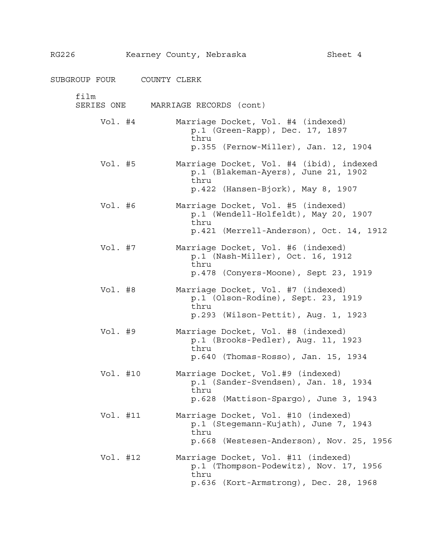| RG226              | Kearney County, Nebraska |      |                                                                                                                         | Sheet 4 |
|--------------------|--------------------------|------|-------------------------------------------------------------------------------------------------------------------------|---------|
| SUBGROUP FOUR      | COUNTY CLERK             |      |                                                                                                                         |         |
| film<br>SERIES ONE |                          |      | MARRIAGE RECORDS (cont)                                                                                                 |         |
| Vol. #4            |                          | thru | Marriage Docket, Vol. #4 (indexed)<br>p.1 (Green-Rapp), Dec. 17, 1897<br>$p.355$ (Fernow-Miller), Jan. 12, 1904         |         |
| Vol. #5            |                          | thru | Marriage Docket, Vol. #4 (ibid), indexed<br>p.1 (Blakeman-Ayers), June 21, 1902<br>p.422 (Hansen-Bjork), May 8, 1907    |         |
| Vol. $#6$          |                          | thru | Marriage Docket, Vol. #5 (indexed)<br>p.1 (Wendell-Holfeldt), May 20, 1907<br>p.421 (Merrell-Anderson), Oct. 14, 1912   |         |
| Vol. #7            |                          | thru | Marriage Docket, Vol. #6 (indexed)<br>p.1 (Nash-Miller), Oct. 16, 1912<br>p.478 (Conyers-Moone), Sept 23, 1919          |         |
| Vol. #8            |                          | thru | Marriage Docket, Vol. #7 (indexed)<br>p.1 (Olson-Rodine), Sept. 23, 1919<br>p.293 (Wilson-Pettit), Aug. 1, 1923         |         |
| Vol. #9            |                          | thru | Marriage Docket, Vol. #8 (indexed)<br>p.1 (Brooks-Pedler), Aug. 11, 1923<br>p.640 (Thomas-Rosso), Jan. 15, 1934         |         |
| Vol. #10           |                          | thru | Marriage Docket, Vol.#9 (indexed)<br>p.1 (Sander-Svendsen), Jan. 18, 1934<br>p.628 (Mattison-Spargo), June 3, 1943      |         |
| Vol. #11           |                          | thru | Marriage Docket, Vol. #10 (indexed)<br>p.1 (Stegemann-Kujath), June 7, 1943<br>p.668 (Westesen-Anderson), Nov. 25, 1956 |         |
| Vol. #12           |                          | thru | Marriage Docket, Vol. #11 (indexed)<br>p.1 (Thompson-Podewitz), Nov. 17, 1956<br>p.636 (Kort-Armstrong), Dec. 28, 1968  |         |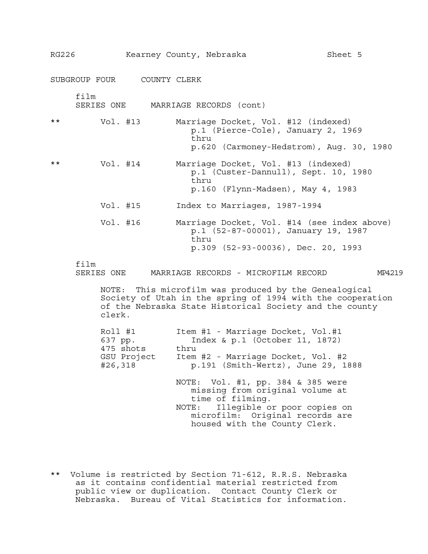| RG226 |                    | Kearney County, Nebraska            |       |                                                                                                                                                                                             | Sheet 5 |
|-------|--------------------|-------------------------------------|-------|---------------------------------------------------------------------------------------------------------------------------------------------------------------------------------------------|---------|
|       |                    | SUBGROUP FOUR COUNTY CLERK          |       |                                                                                                                                                                                             |         |
|       | film<br>SERIES ONE |                                     |       | MARRIAGE RECORDS (cont)                                                                                                                                                                     |         |
| * *   | Vol. #13           |                                     | thru  | Marriage Docket, Vol. #12 (indexed)<br>p.1 (Pierce-Cole), January 2, 1969<br>p.620 (Carmoney-Hedstrom), Aug. 30, 1980                                                                       |         |
| **    | Vol. #14           |                                     | thru  | Marriage Docket, Vol. #13 (indexed)<br>p.1 (Custer-Dannull), Sept. 10, 1980<br>p.160 (Flynn-Madsen), May 4, 1983                                                                            |         |
|       |                    | Vol. #15                            |       | Index to Marriages, 1987-1994                                                                                                                                                               |         |
|       | Vol. #16           |                                     | thru  | Marriage Docket, Vol. #14 (see index above)<br>p.1 (52-87-00001), January 19, 1987<br>p.309 $(52-93-00036)$ , Dec. 20, 1993                                                                 |         |
|       | film<br>SERIES ONE |                                     |       | MARRIAGE RECORDS - MICROFILM RECORD                                                                                                                                                         | MP4219  |
|       | NOTE:<br>clerk.    |                                     |       | This microfilm was produced by the Genealogical<br>Society of Utah in the spring of 1994 with the cooperation<br>of the Nebraska State Historical Society and the county                    |         |
|       | 637 pp.<br>#26,318 | Roll #1<br>475 shots<br>GSU Project | thru  | Item #1 - Marriage Docket, Vol.#1<br>Index & p.1 (October 11, 1872)<br>Item #2 - Marriage Docket, Vol. #2<br>p.191 (Smith-Wertz), June 29, 1888                                             |         |
|       |                    |                                     | NOTE: | NOTE: Vol. #1, pp. 384 & 385 were<br>missing from original volume at<br>time of filming.<br>Illegible or poor copies on<br>microfilm: Original records are<br>housed with the County Clerk. |         |

\*\* Volume is restricted by Section 71-612, R.R.S. Nebraska as it contains confidential material restricted from public view or duplication. Contact County Clerk or Nebraska. Bureau of Vital Statistics for information.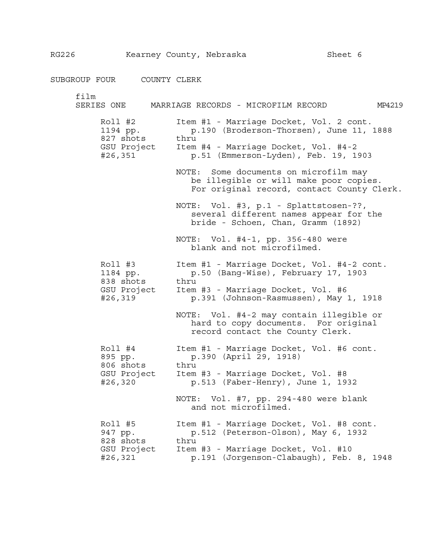RG226 Kearney County, Nebraska Sheet 6

SUBGROUP FOUR COUNTY CLERK film SERIES ONE MARRIAGE RECORDS - MICROFILM RECORD MP4219 Roll #2 Item #1 - Marriage Docket, Vol. 2 cont. 1194 pp. p.190 (Broderson-Thorsen), June 11, 1888 827 shots thru GSU Project Item #4 - Marriage Docket, Vol. #4-2 #26,351 p.51 (Emmerson-Lyden), Feb. 19, 1903 NOTE: Some documents on microfilm may be illegible or will make poor copies. For original record, contact County Clerk. NOTE: Vol. #3, p.1 - Splattstosen-??, several different names appear for the bride - Schoen, Chan, Gramm (1892) NOTE: Vol. #4-1, pp. 356-480 were blank and not microfilmed. Roll #3 Item #1 - Marriage Docket, Vol. #4-2 cont. 1184 pp. p.50 (Bang-Wise), February 17, 1903 838 shots thru GSU Project Item #3 - Marriage Docket, Vol. #6 #26,319 p.391 (Johnson-Rasmussen), May 1, 1918 NOTE: Vol. #4-2 may contain illegible or hard to copy documents. For original record contact the County Clerk. Roll #4 Item #1 - Marriage Docket, Vol. #6 cont. 895 pp. p.390 (April 29, 1918) 806 shots thru GSU Project Item #3 - Marriage Docket, Vol. #8 #26,320 p.513 (Faber-Henry), June 1, 1932 NOTE: Vol. #7, pp. 294-480 were blank and not microfilmed. Roll #5 Item #1 - Marriage Docket, Vol. #8 cont. 947 pp. p.512 (Peterson-Olson), May 6, 1932 828 shots thru GSU Project Item #3 - Marriage Docket, Vol. #10 #26,321 p.191 (Jorgenson-Clabaugh), Feb. 8, 1948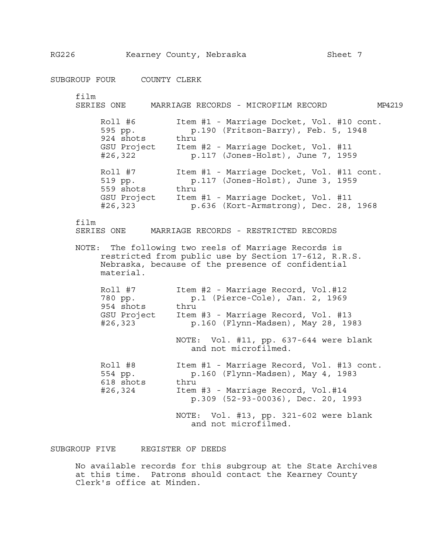SUBGROUP FOUR COUNTY CLERK film SERIES ONE MARRIAGE RECORDS - MICROFILM RECORD MP4219 Roll #6 Item #1 - Marriage Docket, Vol. #10 cont. 595 pp. p.190 (Fritson-Barry), Feb. 5, 1948 924 shots thru GSU Project Item #2 - Marriage Docket, Vol. #11 #26,322 p.117 (Jones-Holst), June 7, 1959 Roll #7 Item #1 - Marriage Docket, Vol. #11 cont. 519 pp. p.117 (Jones-Holst), June 3, 1959 559 shots thru GSU Project Item #1 - Marriage Docket, Vol. #11 #26,323 p.636 (Kort-Armstrong), Dec. 28, 1968 film SERIES ONE MARRIAGE RECORDS - RESTRICTED RECORDS NOTE: The following two reels of Marriage Records is restricted from public use by Section 17-612, R.R.S. Nebraska, because of the presence of confidential material. Roll #7 Item #2 - Marriage Record, Vol.#12 780 pp. p.1 (Pierce-Cole), Jan. 2, 1969 954 shots thru GSU Project Item #3 - Marriage Record, Vol. #13 #26,323 p.160 (Flynn-Madsen), May 28, 1983 NOTE: Vol. #11, pp. 637-644 were blank and not microfilmed. Roll #8 Item #1 - Marriage Record, Vol. #13 cont. 554 pp. p.160 (Flynn-Madsen), May 4, 1983 618 shots thru #26,324 Item #3 - Marriage Record, Vol.#14 p.309 (52-93-00036), Dec. 20, 1993 NOTE: Vol. #13, pp. 321-602 were blank and not microfilmed.

SUBGROUP FIVE REGISTER OF DEEDS

 No available records for this subgroup at the State Archives at this time. Patrons should contact the Kearney County Clerk's office at Minden.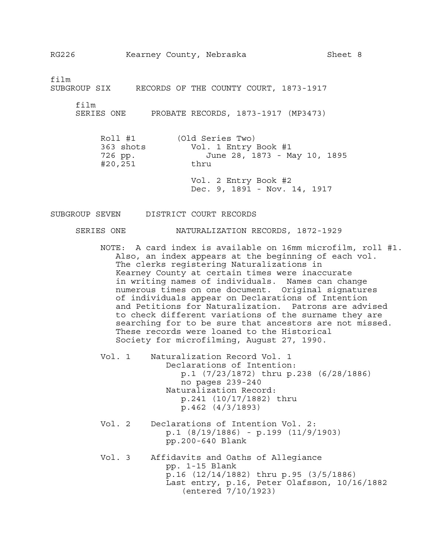film

SUBGROUP SIX RECORDS OF THE COUNTY COURT, 1873-1917

film

SERIES ONE PROBATE RECORDS, 1873-1917 (MP3473)

| Roll #1   | (Old Series Two)             |
|-----------|------------------------------|
| 363 shots | Vol. 1 Entry Book #1         |
| 726 pp.   | June 28, 1873 - May 10, 1895 |
| #20,251   | thru                         |
|           |                              |

Vol. 2 Entry Book #2 Dec. 9, 1891 - Nov. 14, 1917

SUBGROUP SEVEN DISTRICT COURT RECORDS

### SERIES ONE NATURALIZATION RECORDS, 1872-1929

NOTE: A card index is available on 16mm microfilm, roll #1. Also, an index appears at the beginning of each vol. The clerks registering Naturalizations in Kearney County at certain times were inaccurate in writing names of individuals. Names can change numerous times on one document. Original signatures of individuals appear on Declarations of Intention and Petitions for Naturalization. Patrons are advised to check different variations of the surname they are searching for to be sure that ancestors are not missed. These records were loaned to the Historical Society for microfilming, August 27, 1990.

Vol. 1 Naturalization Record Vol. 1 Declarations of Intention: p.1 (7/23/1872) thru p.238 (6/28/1886) no pages 239-240 Naturalization Record: p.241 (10/17/1882) thru p.462 (4/3/1893)

- Vol. 2 Declarations of Intention Vol. 2: p.1 (8/19/1886) - p.199 (11/9/1903) pp.200-640 Blank
- Vol. 3 Affidavits and Oaths of Allegiance pp. 1-15 Blank p.16 (12/14/1882) thru p.95 (3/5/1886) Last entry, p.16, Peter Olafsson, 10/16/1882 (entered 7/10/1923)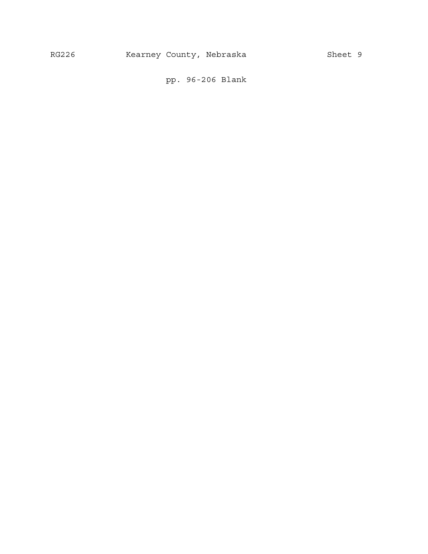pp. 96-206 Blank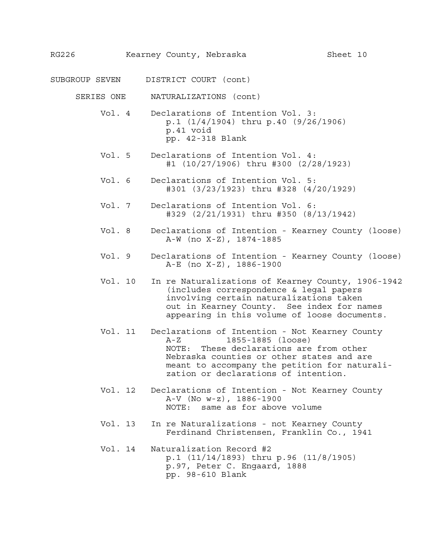SUBGROUP SEVEN DISTRICT COURT (cont)

SERIES ONE NATURALIZATIONS (cont)

- Vol. 4 Declarations of Intention Vol. 3: p.1 (1/4/1904) thru p.40 (9/26/1906) p.41 void pp. 42-318 Blank
- Vol. 5 Declarations of Intention Vol. 4: #1 (10/27/1906) thru #300 (2/28/1923)
- Vol. 6 Declarations of Intention Vol. 5: #301 (3/23/1923) thru #328 (4/20/1929)
- Vol. 7 Declarations of Intention Vol. 6: #329 (2/21/1931) thru #350 (8/13/1942)
- Vol. 8 Declarations of Intention Kearney County (loose) A-W (no X-Z), 1874-1885
- Vol. 9 Declarations of Intention Kearney County (loose) A-E (no X-Z), 1886-1900
- Vol. 10 In re Naturalizations of Kearney County, 1906-1942 (includes correspondence & legal papers involving certain naturalizations taken out in Kearney County. See index for names appearing in this volume of loose documents.
- Vol. 11 Declarations of Intention Not Kearney County A-Z 1855-1885 (loose) NOTE: These declarations are from other Nebraska counties or other states and are meant to accompany the petition for naturalization or declarations of intention.
- Vol. 12 Declarations of Intention Not Kearney County A-V (No w-z), 1886-1900 NOTE: same as for above volume
- Vol. 13 In re Naturalizations not Kearney County Ferdinand Christensen, Franklin Co., 1941
- Vol. 14 Naturalization Record #2 p.1 (11/14/1893) thru p.96 (11/8/1905) p.97, Peter C. Engaard, 1888 pp. 98-610 Blank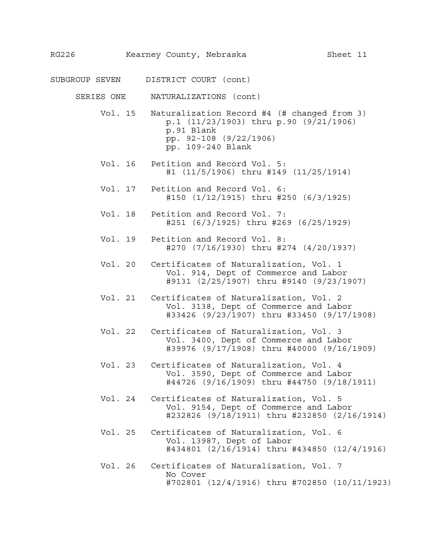- SUBGROUP SEVEN DISTRICT COURT (cont)
	- SERIES ONE NATURALIZATIONS (cont)
		- Vol. 15 Naturalization Record #4 (# changed from 3) p.1 (11/23/1903) thru p.90 (9/21/1906) p.91 Blank pp. 92-108 (9/22/1906) pp. 109-240 Blank
		- Vol. 16 Petition and Record Vol. 5: #1 (11/5/1906) thru #149 (11/25/1914)
		- Vol. 17 Petition and Record Vol. 6: #150 (1/12/1915) thru #250 (6/3/1925)
		- Vol. 18 Petition and Record Vol. 7: #251 (6/3/1925) thru #269 (6/25/1929)
		- Vol. 19 Petition and Record Vol. 8: #270 (7/16/1930) thru #274 (4/20/1937)
		- Vol. 20 Certificates of Naturalization, Vol. 1 Vol. 914, Dept of Commerce and Labor #9131 (2/25/1907) thru #9140 (9/23/1907)
		- Vol. 21 Certificates of Naturalization, Vol. 2 Vol. 3138, Dept of Commerce and Labor #33426 (9/23/1907) thru #33450 (9/17/1908)
		- Vol. 22 Certificates of Naturalization, Vol. 3 Vol. 3400, Dept of Commerce and Labor #39976 (9/17/1908) thru #40000 (9/16/1909)
		- Vol. 23 Certificates of Naturalization, Vol. 4 Vol. 3590, Dept of Commerce and Labor #44726 (9/16/1909) thru #44750 (9/18/1911)
		- Vol. 24 Certificates of Naturalization, Vol. 5 Vol. 9154, Dept of Commerce and Labor #232826 (9/18/1911) thru #232850 (2/16/1914)
		- Vol. 25 Certificates of Naturalization, Vol. 6 Vol. 13987, Dept of Labor #434801 (2/16/1914) thru #434850 (12/4/1916)
		- Vol. 26 Certificates of Naturalization, Vol. 7 No Cover #702801 (12/4/1916) thru #702850 (10/11/1923)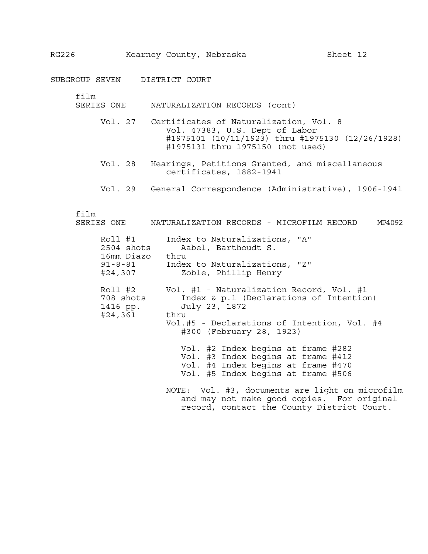SUBGROUP SEVEN DISTRICT COURT

film

- SERIES ONE NATURALIZATION RECORDS (cont)
	- Vol. 27 Certificates of Naturalization, Vol. 8 Vol. 47383, U.S. Dept of Labor #1975101 (10/11/1923) thru #1975130 (12/26/1928) #1975131 thru 1975150 (not used)
	- Vol. 28 Hearings, Petitions Granted, and miscellaneous certificates, 1882-1941
	- Vol. 29 General Correspondence (Administrative), 1906-1941

film

| SERIES ONE | NATURALIZATION RECORDS - MICROFILM RECORD |  |  | MP4092 |
|------------|-------------------------------------------|--|--|--------|
|            |                                           |  |  |        |

| Roll #1<br>2504 shots<br>16mm Diazo thru<br>$91 - 8 - 81$<br>#24,307 | Index to Naturalizations, "A"<br>Aabel, Barthoudt S.<br>Index to Naturalizations, "Z"<br>Zoble, Phillip Henry                                                                           |
|----------------------------------------------------------------------|-----------------------------------------------------------------------------------------------------------------------------------------------------------------------------------------|
| Roll #2<br>708 shots<br>1416 pp.<br>#24,361                          | Vol. #1 - Naturalization Record, Vol. #1<br>Index & p.1 (Declarations of Intention)<br>July 23, 1872<br>thru<br>Vol.#5 - Declarations of Intention, Vol. #4<br>#300 (February 28, 1923) |
|                                                                      | Vol. #2 Index begins at frame #282<br>Vol. #3 Index begins at frame #412<br>Vol. #4 Index begins at frame #470<br>Vol. #5 Index begins at frame #506                                    |
|                                                                      | NOTE: Vol. #3, documents are light on microfilm<br>and may not make good copies. For original                                                                                           |

record, contact the County District Court.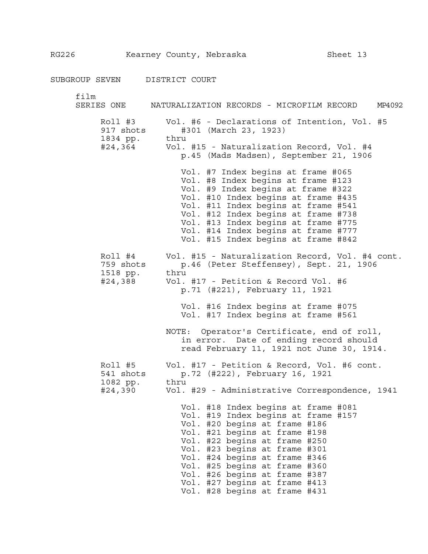SUBGROUP SEVEN DISTRICT COURT

| film<br>SERIES ONE                          | NATURALIZATION RECORDS - MICROFILM RECORD<br>MP4092                                                                                                                                                                                                                                                                                                                                 |
|---------------------------------------------|-------------------------------------------------------------------------------------------------------------------------------------------------------------------------------------------------------------------------------------------------------------------------------------------------------------------------------------------------------------------------------------|
| Roll #3<br>917 shots<br>1834 pp.<br>#24,364 | Vol. #6 - Declarations of Intention, Vol. #5<br>#301 (March 23, 1923)<br>thru<br>Vol. #15 - Naturalization Record, Vol. #4<br>p.45 (Mads Madsen), September 21, 1906                                                                                                                                                                                                                |
|                                             | Vol. #7 Index begins at frame #065<br>Vol. #8 Index begins at frame #123<br>Vol. #9 Index begins at frame #322<br>Vol. #10 Index begins at frame #435<br>Vol. #11 Index begins at frame #541<br>Vol. #12 Index begins at frame #738<br>Vol. #13 Index begins at frame #775<br>Vol. #14 Index begins at frame #777<br>Vol. #15 Index begins at frame #842                            |
| 759 shots<br>1518 pp.<br>#24,388            | Roll #4 Vol. #15 - Naturalization Record, Vol. #4 cont.<br>p.46 (Peter Steffensey), Sept. 21, 1906<br>thru<br>Vol. #17 - Petition & Record Vol. #6<br>p.71 (#221), February 11, 1921                                                                                                                                                                                                |
|                                             | Vol. #16 Index begins at frame #075<br>Vol. #17 Index begins at frame #561<br>NOTE: Operator's Certificate, end of roll,<br>in error. Date of ending record should<br>read February 11, 1921 not June 30, 1914.                                                                                                                                                                     |
| Roll #5<br>541 shots<br>1082 pp.<br>#24,390 | Vol. #17 - Petition & Record, Vol. #6 cont.<br>p.72 (#222), February 16, 1921<br>thru<br>Vol. #29 - Administrative Correspondence, 1941                                                                                                                                                                                                                                             |
|                                             | Vol. #18 Index begins at frame #081<br>Vol. #19 Index begins at frame #157<br>Vol. #20 begins at frame #186<br>Vol. #21 begins at frame #198<br>Vol. #22 begins at frame #250<br>Vol. #23 begins at frame #301<br>Vol. #24 begins at frame #346<br>Vol. #25 begins at frame #360<br>Vol. #26 begins at frame #387<br>Vol. #27 begins at frame #413<br>Vol. #28 begins at frame #431 |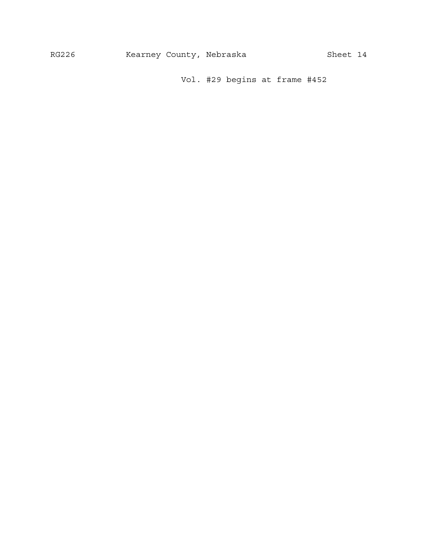Vol. #29 begins at frame #452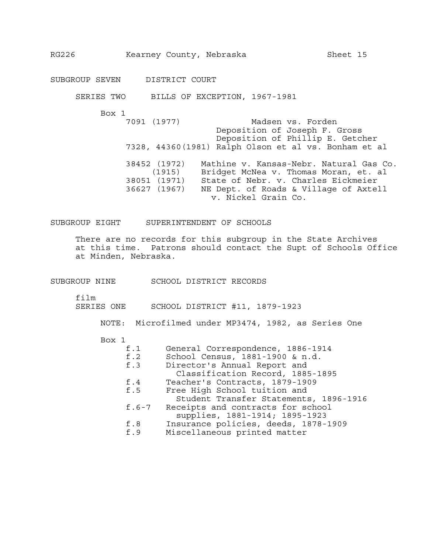SUBGROUP SEVEN DISTRICT COURT

SERIES TWO BILLS OF EXCEPTION, 1967-1981

Box 1

7091 (1977) Madsen vs. Forden Deposition of Joseph F. Gross Deposition of Phillip E. Getcher 7328, 44360(1981) Ralph Olson et al vs. Bonham et al 38452 (1972) Mathine v. Kansas-Nebr. Natural Gas Co. (1915) Bridget McNea v. Thomas Moran, et. al 38051 (1971) State of Nebr. v. Charles Eickmeier 36627 (1967) NE Dept. of Roads & Village of Axtell v. Nickel Grain Co.

SUBGROUP EIGHT SUPERINTENDENT OF SCHOOLS

There are no records for this subgroup in the State Archives at this time. Patrons should contact the Supt of Schools Office at Minden, Nebraska.

SUBGROUP NINE SCHOOL DISTRICT RECORDS

film

SERIES ONE SCHOOL DISTRICT #11, 1879-1923

NOTE: Microfilmed under MP3474, 1982, as Series One

#### Box 1

| General Correspondence, 1886-1914<br>f.1 |  |
|------------------------------------------|--|
|------------------------------------------|--|

- f.2 School Census, 1881-1900 & n.d.<br>f.3 Director's Annual Report and
	- Director's Annual Report and
	- Classification Record, 1885-1895
- f.4 Teacher's Contracts, 1879-1909
- f.5 Free High School tuition and
- Student Transfer Statements, 1896-1916 f.6-7 Receipts and contracts for school
- supplies, 1881-1914; 1895-1923
- f.8 Insurance policies, deeds, 1878-1909
- f.9 Miscellaneous printed matter